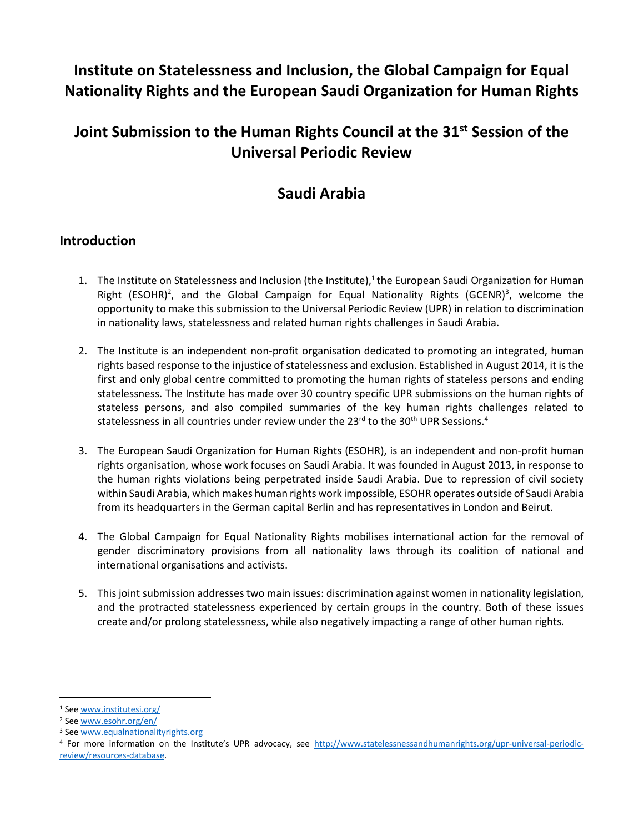# **Institute on Statelessness and Inclusion, the Global Campaign for Equal Nationality Rights and the European Saudi Organization for Human Rights**

# **Joint Submission to the Human Rights Council at the 31st Session of the Universal Periodic Review**

## **Saudi Arabia**

#### **Introduction**

- 1. The Institute on Statelessness and Inclusion (the Institute), $1$  the European Saudi Organization for Human Right (ESOHR)<sup>2</sup>, and the Global Campaign for Equal Nationality Rights (GCENR)<sup>3</sup>, welcome the opportunity to make this submission to the Universal Periodic Review (UPR) in relation to discrimination in nationality laws, statelessness and related human rights challenges in Saudi Arabia.
- 2. The Institute is an independent non-profit organisation dedicated to promoting an integrated, human rights based response to the injustice of statelessness and exclusion. Established in August 2014, it is the first and only global centre committed to promoting the human rights of stateless persons and ending statelessness. The Institute has made over 30 country specific UPR submissions on the human rights of stateless persons, and also compiled summaries of the key human rights challenges related to statelessness in all countries under review under the 23<sup>rd</sup> to the 30<sup>th</sup> UPR Sessions.<sup>4</sup>
- 3. The European Saudi Organization for Human Rights (ESOHR), is an independent and non-profit human rights organisation, whose work focuses on Saudi Arabia. It was founded in August 2013, in response to the human rights violations being perpetrated inside Saudi Arabia. Due to repression of civil society within Saudi Arabia, which makes human rights work impossible, ESOHR operates outside of Saudi Arabia from its headquarters in the German capital Berlin and has representatives in London and Beirut.
- 4. The Global Campaign for Equal Nationality Rights mobilises international action for the removal of gender discriminatory provisions from all nationality laws through its coalition of national and international organisations and activists.
- 5. This joint submission addresses two main issues: discrimination against women in nationality legislation, and the protracted statelessness experienced by certain groups in the country. Both of these issues create and/or prolong statelessness, while also negatively impacting a range of other human rights.

 $\overline{\phantom{a}}$ 

<sup>1</sup> See [www.institutesi.org/](http://www.institutesi.org/)

<sup>2</sup> See [www.esohr.org/en/](http://www.esohr.org/en/)

<sup>3</sup> See [www.equalnationalityrights.org](http://www.equalnationalityrights.org/)

<sup>4</sup> For more information on the Institute's UPR advocacy, see [http://www.statelessnessandhumanrights.org/upr-universal-periodic](http://www.institutesi.org/ourwork/humanrights.php)[review/resources-database.](http://www.institutesi.org/ourwork/humanrights.php)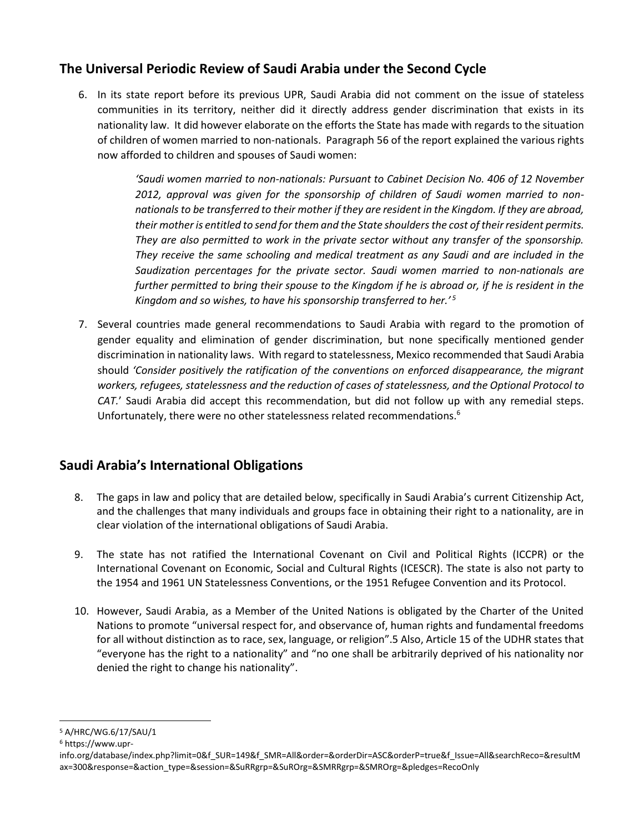### **The Universal Periodic Review of Saudi Arabia under the Second Cycle**

6. In its state report before its previous UPR, Saudi Arabia did not comment on the issue of stateless communities in its territory, neither did it directly address gender discrimination that exists in its nationality law. It did however elaborate on the efforts the State has made with regards to the situation of children of women married to non-nationals. Paragraph 56 of the report explained the various rights now afforded to children and spouses of Saudi women:

> *'Saudi women married to non-nationals: Pursuant to Cabinet Decision No. 406 of 12 November 2012, approval was given for the sponsorship of children of Saudi women married to nonnationals to be transferred to their mother if they are resident in the Kingdom. If they are abroad, their mother is entitled to send for them and the State shoulders the cost of their resident permits. They are also permitted to work in the private sector without any transfer of the sponsorship. They receive the same schooling and medical treatment as any Saudi and are included in the Saudization percentages for the private sector. Saudi women married to non-nationals are further permitted to bring their spouse to the Kingdom if he is abroad or, if he is resident in the Kingdom and so wishes, to have his sponsorship transferred to her.' <sup>5</sup>*

7. Several countries made general recommendations to Saudi Arabia with regard to the promotion of gender equality and elimination of gender discrimination, but none specifically mentioned gender discrimination in nationality laws. With regard to statelessness, Mexico recommended that Saudi Arabia should *'Consider positively the ratification of the conventions on enforced disappearance, the migrant workers, refugees, statelessness and the reduction of cases of statelessness, and the Optional Protocol to CAT.*' Saudi Arabia did accept this recommendation, but did not follow up with any remedial steps. Unfortunately, there were no other statelessness related recommendations.<sup>6</sup>

## **Saudi Arabia's International Obligations**

- 8. The gaps in law and policy that are detailed below, specifically in Saudi Arabia's current Citizenship Act, and the challenges that many individuals and groups face in obtaining their right to a nationality, are in clear violation of the international obligations of Saudi Arabia.
- 9. The state has not ratified the International Covenant on Civil and Political Rights (ICCPR) or the International Covenant on Economic, Social and Cultural Rights (ICESCR). The state is also not party to the 1954 and 1961 UN Statelessness Conventions, or the 1951 Refugee Convention and its Protocol.
- 10. However, Saudi Arabia, as a Member of the United Nations is obligated by the Charter of the United Nations to promote "universal respect for, and observance of, human rights and fundamental freedoms for all without distinction as to race, sex, language, or religion".5 Also, Article 15 of the UDHR states that "everyone has the right to a nationality" and "no one shall be arbitrarily deprived of his nationality nor denied the right to change his nationality".

 $\overline{a}$ <sup>5</sup> A/HRC/WG.6/17/SAU/1

<sup>6</sup> https://www.upr-

info.org/database/index.php?limit=0&f\_SUR=149&f\_SMR=All&order=&orderDir=ASC&orderP=true&f\_Issue=All&searchReco=&resultM ax=300&response=&action\_type=&session=&SuRRgrp=&SuROrg=&SMRRgrp=&SMROrg=&pledges=RecoOnly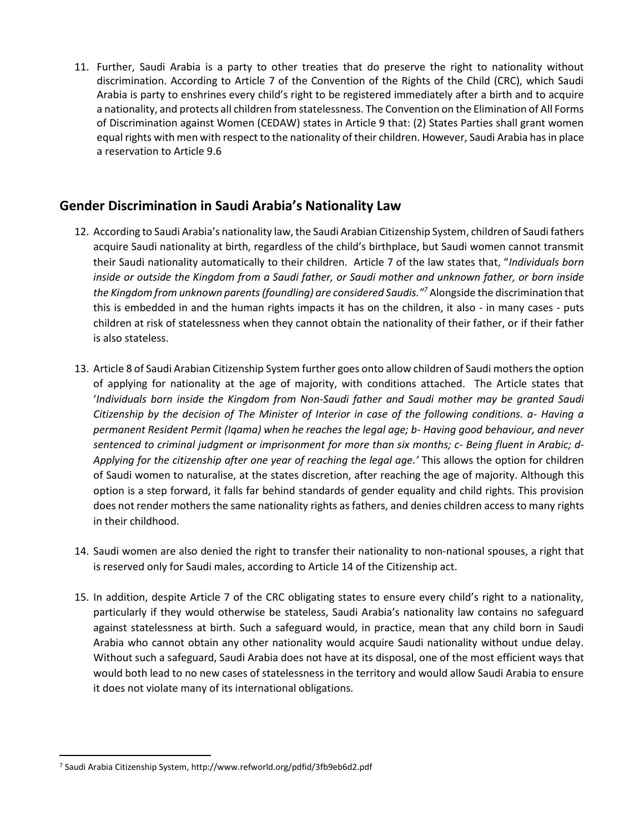11. Further, Saudi Arabia is a party to other treaties that do preserve the right to nationality without discrimination. According to Article 7 of the Convention of the Rights of the Child (CRC), which Saudi Arabia is party to enshrines every child's right to be registered immediately after a birth and to acquire a nationality, and protects all children from statelessness. The Convention on the Elimination of All Forms of Discrimination against Women (CEDAW) states in Article 9 that: (2) States Parties shall grant women equal rights with men with respect to the nationality of their children. However, Saudi Arabia has in place a reservation to Article 9.6

#### **Gender Discrimination in Saudi Arabia's Nationality Law**

- 12. According to Saudi Arabia's nationality law, the Saudi Arabian Citizenship System, children of Saudi fathers acquire Saudi nationality at birth, regardless of the child's birthplace, but Saudi women cannot transmit their Saudi nationality automatically to their children. Article 7 of the law states that, "*Individuals born inside or outside the Kingdom from a Saudi father, or Saudi mother and unknown father, or born inside the Kingdom from unknown parents (foundling) are considered Saudis."<sup>7</sup>* Alongside the discrimination that this is embedded in and the human rights impacts it has on the children, it also - in many cases - puts children at risk of statelessness when they cannot obtain the nationality of their father, or if their father is also stateless.
- 13. Article 8 of Saudi Arabian Citizenship System further goes onto allow children of Saudi mothers the option of applying for nationality at the age of majority, with conditions attached. The Article states that '*Individuals born inside the Kingdom from Non-Saudi father and Saudi mother may be granted Saudi Citizenship by the decision of The Minister of Interior in case of the following conditions. a- Having a permanent Resident Permit (Iqama) when he reaches the legal age; b- Having good behaviour, and never sentenced to criminal judgment or imprisonment for more than six months; c- Being fluent in Arabic; d-Applying for the citizenship after one year of reaching the legal age.'* This allows the option for children of Saudi women to naturalise, at the states discretion, after reaching the age of majority. Although this option is a step forward, it falls far behind standards of gender equality and child rights. This provision does not render mothers the same nationality rights as fathers, and denies children access to many rights in their childhood.
- 14. Saudi women are also denied the right to transfer their nationality to non-national spouses, a right that is reserved only for Saudi males, according to Article 14 of the Citizenship act.
- 15. In addition, despite Article 7 of the CRC obligating states to ensure every child's right to a nationality, particularly if they would otherwise be stateless, Saudi Arabia's nationality law contains no safeguard against statelessness at birth. Such a safeguard would, in practice, mean that any child born in Saudi Arabia who cannot obtain any other nationality would acquire Saudi nationality without undue delay. Without such a safeguard, Saudi Arabia does not have at its disposal, one of the most efficient ways that would both lead to no new cases of statelessness in the territory and would allow Saudi Arabia to ensure it does not violate many of its international obligations.

 $\overline{a}$ 

<sup>7</sup> Saudi Arabia Citizenship System, http://www.refworld.org/pdfid/3fb9eb6d2.pdf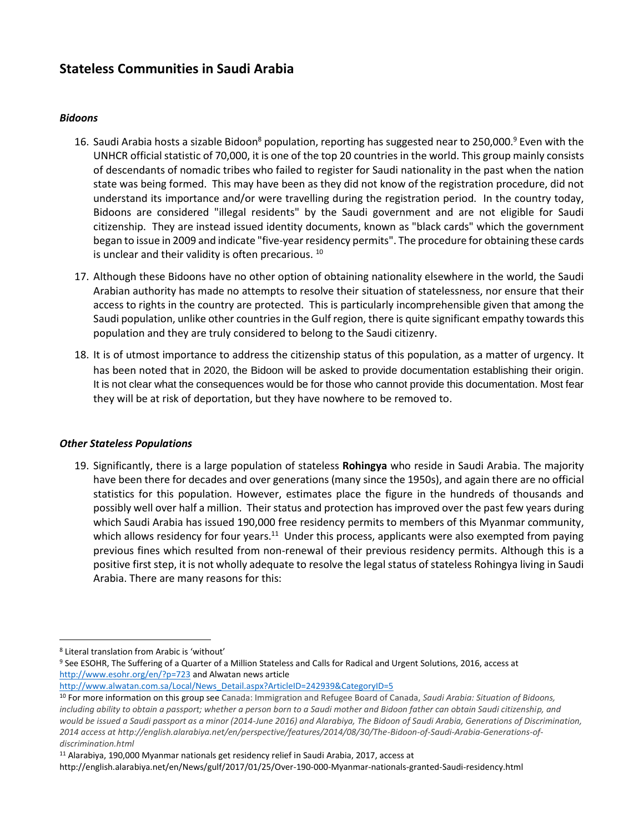### **Stateless Communities in Saudi Arabia**

#### *Bidoons*

- 16. Saudi Arabia hosts a sizable Bidoon<sup>8</sup> population, reporting has suggested near to 250,000.<sup>9</sup> Even with the UNHCR official statistic of 70,000, it is one of the top 20 countries in the world. This group mainly consists of descendants of nomadic tribes who failed to register for Saudi nationality in the past when the nation state was being formed. This may have been as they did not know of the registration procedure, did not understand its importance and/or were travelling during the registration period. In the country today, Bidoons are considered "illegal residents" by the Saudi government and are not eligible for Saudi citizenship. They are instead issued identity documents, known as "black cards" which the government began to issue in 2009 and indicate "five-year residency permits". The procedure for obtaining these cards is unclear and their validity is often precarious.  $10$
- 17. Although these Bidoons have no other option of obtaining nationality elsewhere in the world, the Saudi Arabian authority has made no attempts to resolve their situation of statelessness, nor ensure that their access to rights in the country are protected. This is particularly incomprehensible given that among the Saudi population, unlike other countries in the Gulf region, there is quite significant empathy towards this population and they are truly considered to belong to the Saudi citizenry.
- 18. It is of utmost importance to address the citizenship status of this population, as a matter of urgency. It has been noted that in 2020, the Bidoon will be asked to provide documentation establishing their origin. It is not clear what the consequences would be for those who cannot provide this documentation. Most fear they will be at risk of deportation, but they have nowhere to be removed to.

#### *Other Stateless Populations*

19. Significantly, there is a large population of stateless **Rohingya** who reside in Saudi Arabia. The majority have been there for decades and over generations (many since the 1950s), and again there are no official statistics for this population. However, estimates place the figure in the hundreds of thousands and possibly well over half a million. Their status and protection has improved over the past few years during which Saudi Arabia has issued 190,000 free residency permits to members of this Myanmar community, which allows residency for four years.<sup>11</sup> Under this process, applicants were also exempted from paying previous fines which resulted from non-renewal of their previous residency permits. Although this is a positive first step, it is not wholly adequate to resolve the legal status of stateless Rohingya living in Saudi Arabia. There are many reasons for this:

 $\overline{a}$ 

[http://www.alwatan.com.sa/Local/News\\_Detail.aspx?ArticleID=242939&CategoryID=5](http://www.alwatan.com.sa/Local/News_Detail.aspx?ArticleID=242939&CategoryID=5)

<sup>11</sup> Alarabiya, 190,000 Myanmar nationals get residency relief in Saudi Arabia, 2017, access at

<sup>8</sup> Literal translation from Arabic is 'without'

<sup>9</sup> See ESOHR, The Suffering of a Quarter of a Million Stateless and Calls for Radical and Urgent Solutions, 2016, access at <http://www.esohr.org/en/?p=723> and Alwatan news article

<sup>10</sup> For more information on this group see Canada: Immigration and Refugee Board of Canada, *Saudi Arabia: Situation of Bidoons, including ability to obtain a passport; whether a person born to a Saudi mother and Bidoon father can obtain Saudi citizenship, and would be issued a Saudi passport as a minor (2014-June 2016) and Alarabiya, The Bidoon of Saudi Arabia, Generations of Discrimination, 2014 access at http://english.alarabiya.net/en/perspective/features/2014/08/30/The-Bidoon-of-Saudi-Arabia-Generations-ofdiscrimination.html*

http://english.alarabiya.net/en/News/gulf/2017/01/25/Over-190-000-Myanmar-nationals-granted-Saudi-residency.html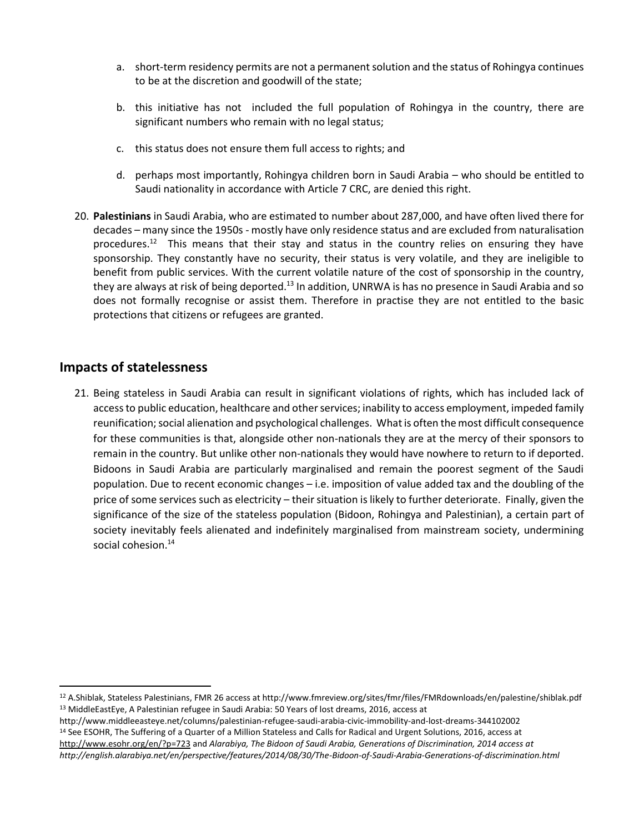- a. short-term residency permits are not a permanent solution and the status of Rohingya continues to be at the discretion and goodwill of the state;
- b. this initiative has not included the full population of Rohingya in the country, there are significant numbers who remain with no legal status;
- c. this status does not ensure them full access to rights; and
- d. perhaps most importantly, Rohingya children born in Saudi Arabia who should be entitled to Saudi nationality in accordance with Article 7 CRC, are denied this right.
- 20. **Palestinians** in Saudi Arabia, who are estimated to number about 287,000, and have often lived there for decades – many since the 1950s - mostly have only residence status and are excluded from naturalisation procedures.<sup>12</sup> This means that their stay and status in the country relies on ensuring they have sponsorship. They constantly have no security, their status is very volatile, and they are ineligible to benefit from public services. With the current volatile nature of the cost of sponsorship in the country, they are always at risk of being deported.<sup>13</sup> In addition, UNRWA is has no presence in Saudi Arabia and so does not formally recognise or assist them. Therefore in practise they are not entitled to the basic protections that citizens or refugees are granted.

#### **Impacts of statelessness**

 $\overline{\phantom{a}}$ 

21. Being stateless in Saudi Arabia can result in significant violations of rights, which has included lack of access to public education, healthcare and other services; inability to access employment, impeded family reunification; social alienation and psychological challenges. What is often the most difficult consequence for these communities is that, alongside other non-nationals they are at the mercy of their sponsors to remain in the country. But unlike other non-nationals they would have nowhere to return to if deported. Bidoons in Saudi Arabia are particularly marginalised and remain the poorest segment of the Saudi population. Due to recent economic changes – i.e. imposition of value added tax and the doubling of the price of some services such as electricity – their situation is likely to further deteriorate. Finally, given the significance of the size of the stateless population (Bidoon, Rohingya and Palestinian), a certain part of society inevitably feels alienated and indefinitely marginalised from mainstream society, undermining social cohesion.<sup>14</sup>

- http://www.middleeasteye.net/columns/palestinian-refugee-saudi-arabia-civic-immobility-and-lost-dreams-344102002 <sup>14</sup> See ESOHR, The Suffering of a Quarter of a Million Stateless and Calls for Radical and Urgent Solutions, 2016, access at
- <http://www.esohr.org/en/?p=723> and *Alarabiya, The Bidoon of Saudi Arabia, Generations of Discrimination, 2014 access at http://english.alarabiya.net/en/perspective/features/2014/08/30/The-Bidoon-of-Saudi-Arabia-Generations-of-discrimination.html*

<sup>12</sup> A.Shiblak, Stateless Palestinians, FMR 26 access at http://www.fmreview.org/sites/fmr/files/FMRdownloads/en/palestine/shiblak.pdf <sup>13</sup> MiddleEastEye, A Palestinian refugee in Saudi Arabia: 50 Years of lost dreams, 2016, access at